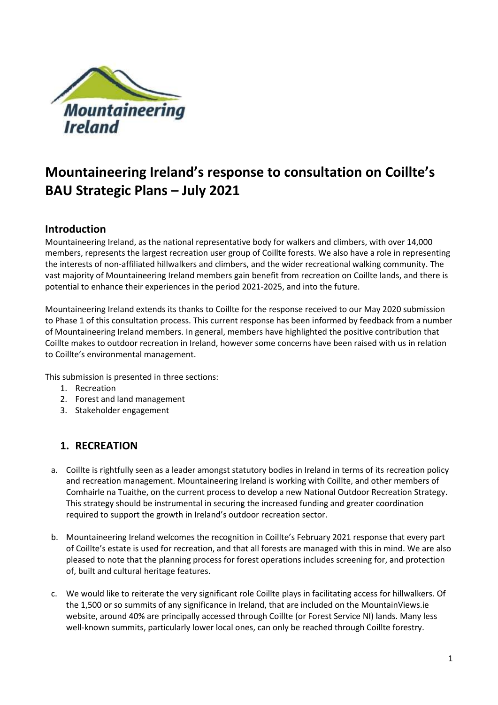

# **Mountaineering Ireland's response to consultation on Coillte's BAU Strategic Plans – July 2021**

#### **Introduction**

Mountaineering Ireland, as the national representative body for walkers and climbers, with over 14,000 members, represents the largest recreation user group of Coillte forests. We also have a role in representing the interests of non-affiliated hillwalkers and climbers, and the wider recreational walking community. The vast majority of Mountaineering Ireland members gain benefit from recreation on Coillte lands, and there is potential to enhance their experiences in the period 2021-2025, and into the future.

Mountaineering Ireland extends its thanks to Coillte for the response received to our May 2020 submission to Phase 1 of this consultation process. This current response has been informed by feedback from a number of Mountaineering Ireland members. In general, members have highlighted the positive contribution that Coillte makes to outdoor recreation in Ireland, however some concerns have been raised with us in relation to Coillte's environmental management.

This submission is presented in three sections:

- 1. Recreation
- 2. Forest and land management
- 3. Stakeholder engagement

## **1. RECREATION**

- a. Coillte is rightfully seen as a leader amongst statutory bodies in Ireland in terms of its recreation policy and recreation management. Mountaineering Ireland is working with Coillte, and other members of Comhairle na Tuaithe, on the current process to develop a new National Outdoor Recreation Strategy. This strategy should be instrumental in securing the increased funding and greater coordination required to support the growth in Ireland's outdoor recreation sector.
- b. Mountaineering Ireland welcomes the recognition in Coillte's February 2021 response that every part of Coillte's estate is used for recreation, and that all forests are managed with this in mind. We are also pleased to note that the planning process for forest operations includes screening for, and protection of, built and cultural heritage features.
- c. We would like to reiterate the very significant role Coillte plays in facilitating access for hillwalkers. Of the 1,500 or so summits of any significance in Ireland, that are included on the MountainViews.ie website, around 40% are principally accessed through Coillte (or Forest Service NI) lands. Many less well-known summits, particularly lower local ones, can only be reached through Coillte forestry.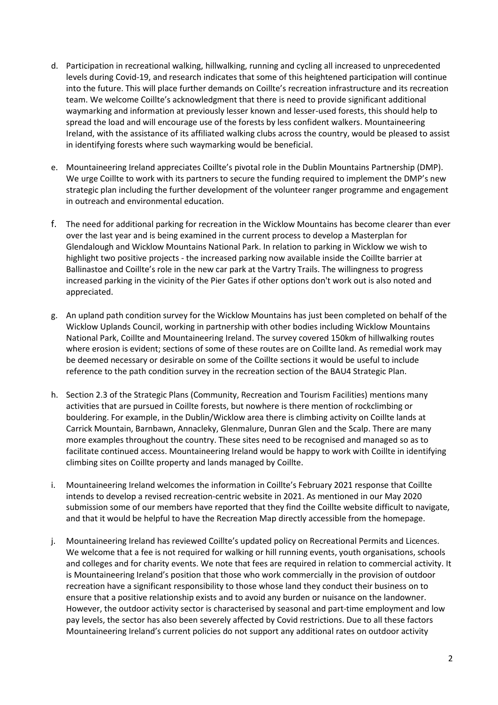- d. Participation in recreational walking, hillwalking, running and cycling all increased to unprecedented levels during Covid-19, and research indicates that some of this heightened participation will continue into the future. This will place further demands on Coillte's recreation infrastructure and its recreation team. We welcome Coillte's acknowledgment that there is need to provide significant additional waymarking and information at previously lesser known and lesser-used forests, this should help to spread the load and will encourage use of the forests by less confident walkers. Mountaineering Ireland, with the assistance of its affiliated walking clubs across the country, would be pleased to assist in identifying forests where such waymarking would be beneficial.
- e. Mountaineering Ireland appreciates Coillte's pivotal role in the Dublin Mountains Partnership (DMP). We urge Coillte to work with its partners to secure the funding required to implement the DMP's new strategic plan including the further development of the volunteer ranger programme and engagement in outreach and environmental education.
- f. The need for additional parking for recreation in the Wicklow Mountains has become clearer than ever over the last year and is being examined in the current process to develop a Masterplan for Glendalough and Wicklow Mountains National Park. In relation to parking in Wicklow we wish to highlight two positive projects - the increased parking now available inside the Coillte barrier at Ballinastoe and Coillte's role in the new car park at the Vartry Trails. The willingness to progress increased parking in the vicinity of the Pier Gates if other options don't work out is also noted and appreciated.
- g. An upland path condition survey for the Wicklow Mountains has just been completed on behalf of the Wicklow Uplands Council, working in partnership with other bodies including Wicklow Mountains National Park, Coillte and Mountaineering Ireland. The survey covered 150km of hillwalking routes where erosion is evident; sections of some of these routes are on Coillte land. As remedial work may be deemed necessary or desirable on some of the Coillte sections it would be useful to include reference to the path condition survey in the recreation section of the BAU4 Strategic Plan.
- h. Section 2.3 of the Strategic Plans (Community, Recreation and Tourism Facilities) mentions many activities that are pursued in Coillte forests, but nowhere is there mention of rockclimbing or bouldering. For example, in the Dublin/Wicklow area there is climbing activity on Coillte lands at Carrick Mountain, Barnbawn, Annacleky, Glenmalure, Dunran Glen and the Scalp. There are many more examples throughout the country. These sites need to be recognised and managed so as to facilitate continued access. Mountaineering Ireland would be happy to work with Coillte in identifying climbing sites on Coillte property and lands managed by Coillte.
- i. Mountaineering Ireland welcomes the information in Coillte's February 2021 response that Coillte intends to develop a revised recreation-centric website in 2021. As mentioned in our May 2020 submission some of our members have reported that they find the Coillte website difficult to navigate, and that it would be helpful to have the Recreation Map directly accessible from the homepage.
- j. Mountaineering Ireland has reviewed Coillte's updated policy on Recreational Permits and Licences. We welcome that a fee is not required for walking or hill running events, youth organisations, schools and colleges and for charity events. We note that fees are required in relation to commercial activity. It is Mountaineering Ireland's position that those who work commercially in the provision of outdoor recreation have a significant responsibility to those whose land they conduct their business on to ensure that a positive relationship exists and to avoid any burden or nuisance on the landowner. However, the outdoor activity sector is characterised by seasonal and part-time employment and low pay levels, the sector has also been severely affected by Covid restrictions. Due to all these factors Mountaineering Ireland's current policies do not support any additional rates on outdoor activity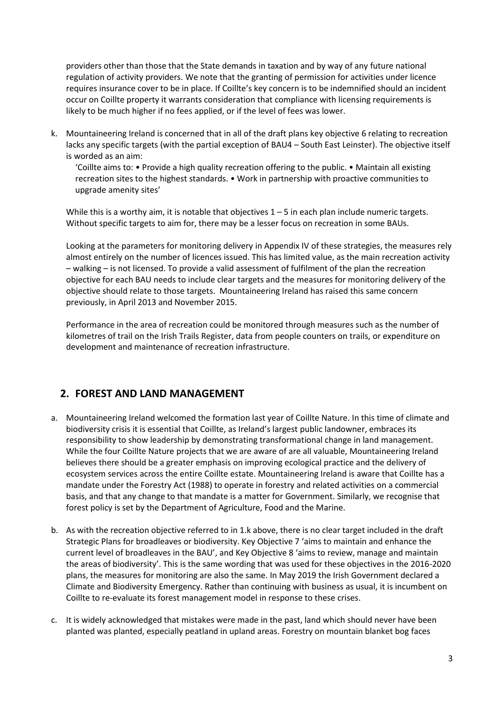providers other than those that the State demands in taxation and by way of any future national regulation of activity providers. We note that the granting of permission for activities under licence requires insurance cover to be in place. If Coillte's key concern is to be indemnified should an incident occur on Coillte property it warrants consideration that compliance with licensing requirements is likely to be much higher if no fees applied, or if the level of fees was lower.

k. Mountaineering Ireland is concerned that in all of the draft plans key objective 6 relating to recreation lacks any specific targets (with the partial exception of BAU4 – South East Leinster). The objective itself is worded as an aim:

'Coillte aims to: • Provide a high quality recreation offering to the public. • Maintain all existing recreation sites to the highest standards. • Work in partnership with proactive communities to upgrade amenity sites'

While this is a worthy aim, it is notable that objectives  $1 - 5$  in each plan include numeric targets. Without specific targets to aim for, there may be a lesser focus on recreation in some BAUs.

Looking at the parameters for monitoring delivery in Appendix IV of these strategies, the measures rely almost entirely on the number of licences issued. This has limited value, as the main recreation activity – walking – is not licensed. To provide a valid assessment of fulfilment of the plan the recreation objective for each BAU needs to include clear targets and the measures for monitoring delivery of the objective should relate to those targets. Mountaineering Ireland has raised this same concern previously, in April 2013 and November 2015.

Performance in the area of recreation could be monitored through measures such as the number of kilometres of trail on the Irish Trails Register, data from people counters on trails, or expenditure on development and maintenance of recreation infrastructure.

## **2. FOREST AND LAND MANAGEMENT**

- a. Mountaineering Ireland welcomed the formation last year of Coillte Nature. In this time of climate and biodiversity crisis it is essential that Coillte, as Ireland's largest public landowner, embraces its responsibility to show leadership by demonstrating transformational change in land management. While the four Coillte Nature projects that we are aware of are all valuable, Mountaineering Ireland believes there should be a greater emphasis on improving ecological practice and the delivery of ecosystem services across the entire Coillte estate. Mountaineering Ireland is aware that Coillte has a mandate under the Forestry Act (1988) to operate in forestry and related activities on a commercial basis, and that any change to that mandate is a matter for Government. Similarly, we recognise that forest policy is set by the Department of Agriculture, Food and the Marine.
- b. As with the recreation objective referred to in 1.k above, there is no clear target included in the draft Strategic Plans for broadleaves or biodiversity. Key Objective 7 'aims to maintain and enhance the current level of broadleaves in the BAU', and Key Objective 8 'aims to review, manage and maintain the areas of biodiversity'. This is the same wording that was used for these objectives in the 2016-2020 plans, the measures for monitoring are also the same. In May 2019 the Irish Government declared a Climate and Biodiversity Emergency. Rather than continuing with business as usual, it is incumbent on Coillte to re-evaluate its forest management model in response to these crises.
- c. It is widely acknowledged that mistakes were made in the past, land which should never have been planted was planted, especially peatland in upland areas. Forestry on mountain blanket bog faces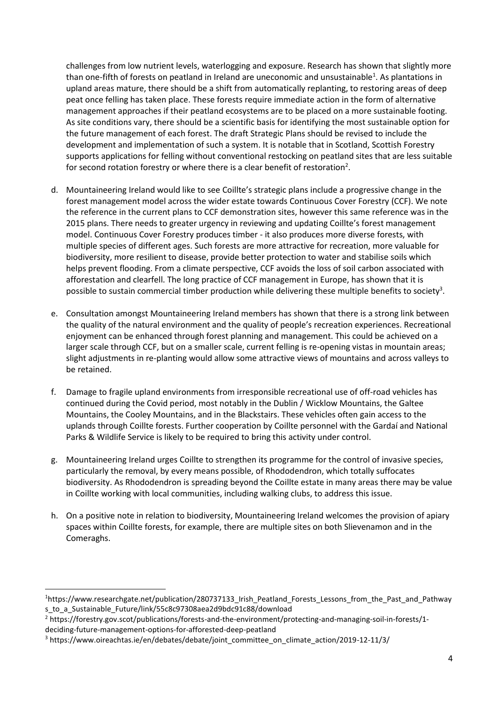challenges from low nutrient levels, waterlogging and exposure. Research has shown that slightly more than one-fifth of forests on peatland in Ireland are uneconomic and unsustainable<sup>1</sup>. As plantations in upland areas mature, there should be a shift from automatically replanting, to restoring areas of deep peat once felling has taken place. These forests require immediate action in the form of alternative management approaches if their peatland ecosystems are to be placed on a more sustainable footing. As site conditions vary, there should be a scientific basis for identifying the most sustainable option for the future management of each forest. The draft Strategic Plans should be revised to include the development and implementation of such a system. It is notable that in Scotland, Scottish Forestry supports applications for felling without conventional restocking on peatland sites that are less suitable for second rotation forestry or where there is a clear benefit of restoration<sup>2</sup>.

- d. Mountaineering Ireland would like to see Coillte's strategic plans include a progressive change in the forest management model across the wider estate towards Continuous Cover Forestry (CCF). We note the reference in the current plans to CCF demonstration sites, however this same reference was in the 2015 plans. There needs to greater urgency in reviewing and updating Coillte's forest management model. Continuous Cover Forestry produces timber - it also produces more diverse forests, with multiple species of different ages. Such forests are more attractive for recreation, more valuable for biodiversity, more resilient to disease, provide better protection to water and stabilise soils which helps prevent flooding. From a climate perspective, CCF avoids the loss of soil carbon associated with afforestation and clearfell. The long practice of CCF management in Europe, has shown that it is possible to sustain commercial timber production while delivering these multiple benefits to society<sup>3</sup>.
- e. Consultation amongst Mountaineering Ireland members has shown that there is a strong link between the quality of the natural environment and the quality of people's recreation experiences. Recreational enjoyment can be enhanced through forest planning and management. This could be achieved on a larger scale through CCF, but on a smaller scale, current felling is re-opening vistas in mountain areas; slight adjustments in re-planting would allow some attractive views of mountains and across valleys to be retained.
- f. Damage to fragile upland environments from irresponsible recreational use of off-road vehicles has continued during the Covid period, most notably in the Dublin / Wicklow Mountains, the Galtee Mountains, the Cooley Mountains, and in the Blackstairs. These vehicles often gain access to the uplands through Coillte forests. Further cooperation by Coillte personnel with the Gardaí and National Parks & Wildlife Service is likely to be required to bring this activity under control.
- g. Mountaineering Ireland urges Coillte to strengthen its programme for the control of invasive species, particularly the removal, by every means possible, of Rhododendron, which totally suffocates biodiversity. As Rhododendron is spreading beyond the Coillte estate in many areas there may be value in Coillte working with local communities, including walking clubs, to address this issue.
- h. On a positive note in relation to biodiversity, Mountaineering Ireland welcomes the provision of apiary spaces within Coillte forests, for example, there are multiple sites on both Slievenamon and in the Comeraghs.

<sup>&</sup>lt;sup>1</sup>https://www.researchgate.net/publication/280737133 Irish Peatland Forests Lessons from the Past and Pathway s\_to\_a\_Sustainable\_Future/link/55c8c97308aea2d9bdc91c88/download

<sup>2</sup> https://forestry.gov.scot/publications/forests-and-the-environment/protecting-and-managing-soil-in-forests/1 deciding-future-management-options-for-afforested-deep-peatland

<sup>3</sup> https://www.oireachtas.ie/en/debates/debate/joint\_committee\_on\_climate\_action/2019-12-11/3/